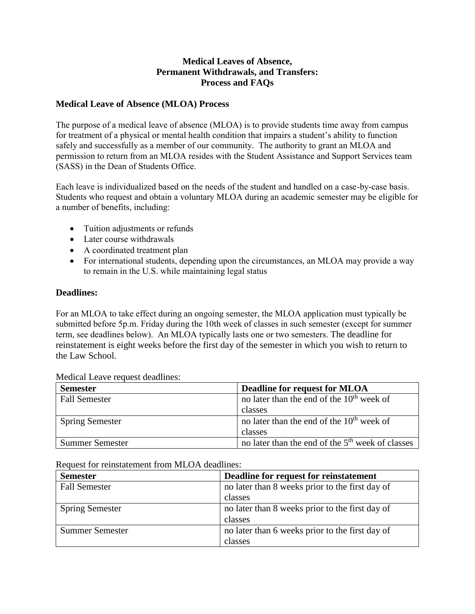# **Medical Leaves of Absence, Permanent Withdrawals, and Transfers: Process and FAQs**

### **Medical Leave of Absence (MLOA) Process**

The purpose of a medical leave of absence (MLOA) is to provide students time away from campus for treatment of a physical or mental health condition that impairs a student's ability to function safely and successfully as a member of our community. The authority to grant an MLOA and permission to return from an MLOA resides with the Student Assistance and Support Services team (SASS) in the Dean of Students Office.

Each leave is individualized based on the needs of the student and handled on a case-by-case basis. Students who request and obtain a voluntary MLOA during an academic semester may be eligible for a number of benefits, including:

- Tuition adjustments or refunds
- Later course withdrawals
- A coordinated treatment plan
- For international students, depending upon the circumstances, an MLOA may provide a way to remain in the U.S. while maintaining legal status

#### **Deadlines:**

For an MLOA to take effect during an ongoing semester, the MLOA application must typically be submitted before 5p.m. Friday during the 10th week of classes in such semester (except for summer term, see deadlines below). An MLOA typically lasts one or two semesters. The deadline for reinstatement is eight weeks before the first day of the semester in which you wish to return to the Law School.

| <b>Semester</b>        | <b>Deadline for request for MLOA</b>                         |
|------------------------|--------------------------------------------------------------|
| <b>Fall Semester</b>   | no later than the end of the 10 <sup>th</sup> week of        |
|                        | classes                                                      |
| <b>Spring Semester</b> | no later than the end of the 10 <sup>th</sup> week of        |
|                        | classes                                                      |
| <b>Summer Semester</b> | no later than the end of the 5 <sup>th</sup> week of classes |

Medical Leave request deadlines:

Request for reinstatement from MLOA deadlines:

| <b>Semester</b>        | Deadline for request for reinstatement          |
|------------------------|-------------------------------------------------|
| <b>Fall Semester</b>   | no later than 8 weeks prior to the first day of |
|                        | classes                                         |
| <b>Spring Semester</b> | no later than 8 weeks prior to the first day of |
|                        | classes                                         |
| <b>Summer Semester</b> | no later than 6 weeks prior to the first day of |
|                        | classes                                         |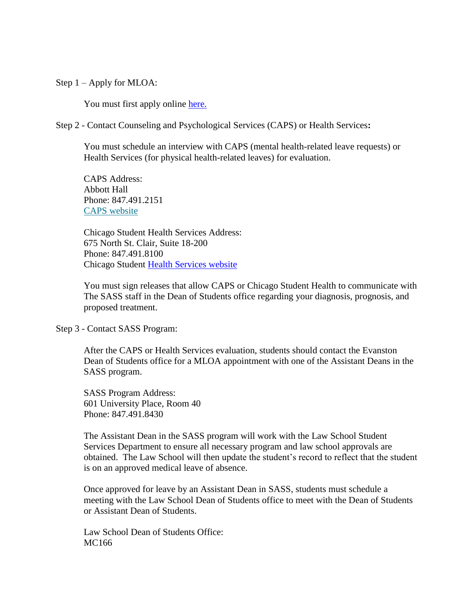Step 1 – Apply for MLOA:

You must first apply online [here.](http://www.northwestern.edu/counseling/clinical-services/leave-of-absence/)

Step 2 - Contact Counseling and Psychological Services (CAPS) or Health Services**:**

You must schedule an interview with CAPS (mental health-related leave requests) or Health Services (for physical health-related leaves) for evaluation.

CAPS Address: Abbott Hall Phone: 847.491.2151 [CAPS website](http://www.northwestern.edu/counseling/)

Chicago Student Health Services Address: 675 North St. Clair, Suite 18-200 Phone: 847.491.8100 Chicago Student [Health Services website](http://www-chicago.nuhs.northwestern.edu/)

You must sign releases that allow CAPS or Chicago Student Health to communicate with The SASS staff in the Dean of Students office regarding your diagnosis, prognosis, and proposed treatment.

Step 3 - Contact SASS Program:

After the CAPS or Health Services evaluation, students should contact the Evanston Dean of Students office for a MLOA appointment with one of the Assistant Deans in the SASS program.

SASS Program Address: 601 University Place, Room 40 Phone: 847.491.8430

The Assistant Dean in the SASS program will work with the Law School Student Services Department to ensure all necessary program and law school approvals are obtained. The Law School will then update the student's record to reflect that the student is on an approved medical leave of absence.

Once approved for leave by an Assistant Dean in SASS, students must schedule a meeting with the Law School Dean of Students office to meet with the Dean of Students or Assistant Dean of Students.

Law School Dean of Students Office: MC166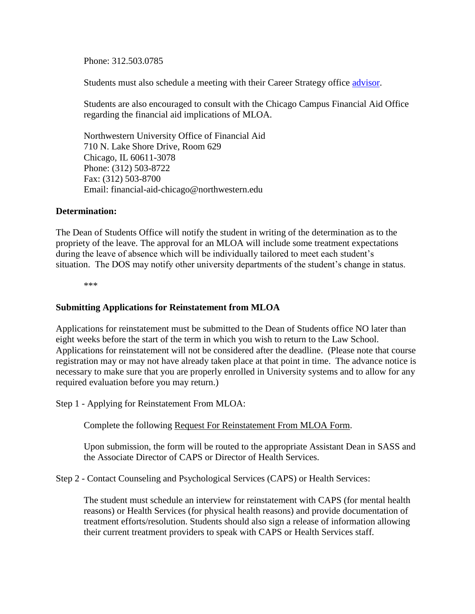Phone: 312.503.0785

Students must also schedule a meeting with their Career Strategy office [advisor.](http://www.law.northwestern.edu/professional-life/career/students/)

Students are also encouraged to consult with the Chicago Campus Financial Aid Office regarding the financial aid implications of MLOA.

Northwestern University Office of Financial Aid 710 N. Lake Shore Drive, Room 629 Chicago, IL 60611-3078 Phone: (312) 503-8722 Fax: (312) 503-8700 Email: [financial-aid-chicago@northwestern.edu](mailto:financial-aid-chicago@northwestern.edu)

#### **Determination:**

The Dean of Students Office will notify the student in writing of the determination as to the propriety of the leave. The approval for an MLOA will include some treatment expectations during the leave of absence which will be individually tailored to meet each student's situation. The DOS may notify other university departments of the student's change in status.

\*\*\*

#### **Submitting Applications for Reinstatement from MLOA**

Applications for reinstatement must be submitted to the Dean of Students office NO later than eight weeks before the start of the term in which you wish to return to the Law School. Applications for reinstatement will not be considered after the deadline. (Please note that course registration may or may not have already taken place at that point in time. The advance notice is necessary to make sure that you are properly enrolled in University systems and to allow for any required evaluation before you may return.)

Step 1 - Applying for Reinstatement From MLOA:

Complete the following [Request For Reinstatement From MLOA Form.](https://publicdocs.maxient.com/reportingform.php?NorthwesternUniv&layout_id=101)

Upon submission, the form will be routed to the appropriate Assistant Dean in SASS and the Associate Director of CAPS or Director of Health Services.

Step 2 - Contact Counseling and Psychological Services (CAPS) or Health Services:

The student must schedule an interview for reinstatement with CAPS (for mental health reasons) or Health Services (for physical health reasons) and provide documentation of treatment efforts/resolution. Students should also sign a release of information allowing their current treatment providers to speak with CAPS or Health Services staff.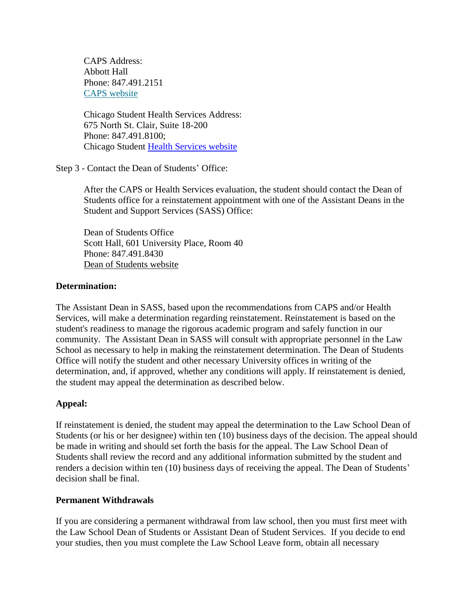CAPS Address: Abbott Hall Phone: 847.491.2151 [CAPS website](http://www.northwestern.edu/counseling/)

Chicago Student Health Services Address: 675 North St. Clair, Suite 18-200 Phone: 847.491.8100; Chicago Student [Health Services website](http://www-chicago.nuhs.northwestern.edu/)

Step 3 - Contact the Dean of Students' Office:

After the CAPS or Health Services evaluation, the student should contact the Dean of Students office for a reinstatement appointment with one of the Assistant Deans in the Student and Support Services (SASS) Office:

Dean of Students Office Scott Hall, 601 University Place, Room 40 Phone: 847.491.8430 [Dean of Students website](http://www.northwestern.edu/studentaffairs/dos/index.html)

#### **Determination:**

The Assistant Dean in SASS, based upon the recommendations from CAPS and/or Health Services, will make a determination regarding reinstatement. Reinstatement is based on the student's readiness to manage the rigorous academic program and safely function in our community. The Assistant Dean in SASS will consult with appropriate personnel in the Law School as necessary to help in making the reinstatement determination. The Dean of Students Office will notify the student and other necessary University offices in writing of the determination, and, if approved, whether any conditions will apply. If reinstatement is denied, the student may appeal the determination as described below.

#### **Appeal:**

If reinstatement is denied, the student may appeal the determination to the Law School Dean of Students (or his or her designee) within ten (10) business days of the decision. The appeal should be made in writing and should set forth the basis for the appeal. The Law School Dean of Students shall review the record and any additional information submitted by the student and renders a decision within ten (10) business days of receiving the appeal. The Dean of Students' decision shall be final.

#### **Permanent Withdrawals**

If you are considering a permanent withdrawal from law school, then you must first meet with the Law School Dean of Students or Assistant Dean of Student Services. If you decide to end your studies, then you must complete the Law School Leave form, obtain all necessary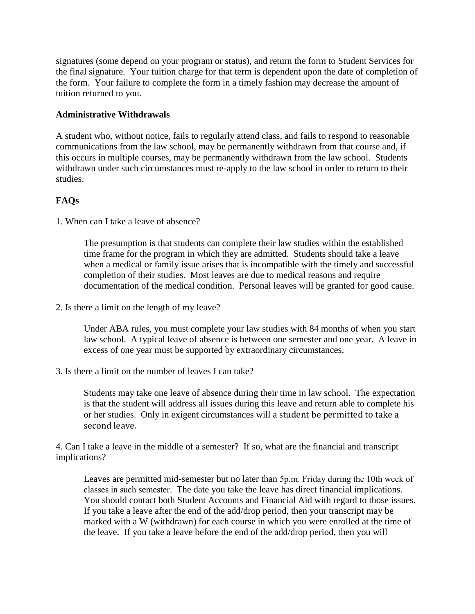signatures (some depend on your program or status), and return the form to Student Services for the final signature. Your tuition charge for that term is dependent upon the date of completion of the form. Your failure to complete the form in a timely fashion may decrease the amount of tuition returned to you.

# **Administrative Withdrawals**

A student who, without notice, fails to regularly attend class, and fails to respond to reasonable communications from the law school, may be permanently withdrawn from that course and, if this occurs in multiple courses, may be permanently withdrawn from the law school. Students withdrawn under such circumstances must re-apply to the law school in order to return to their studies.

# **FAQs**

1. When can I take a leave of absence?

The presumption is that students can complete their law studies within the established time frame for the program in which they are admitted. Students should take a leave when a medical or family issue arises that is incompatible with the timely and successful completion of their studies. Most leaves are due to medical reasons and require documentation of the medical condition. Personal leaves will be granted for good cause.

2. Is there a limit on the length of my leave?

Under ABA rules, you must complete your law studies with 84 months of when you start law school. A typical leave of absence is between one semester and one year. A leave in excess of one year must be supported by extraordinary circumstances.

3. Is there a limit on the number of leaves I can take?

Students may take one leave of absence during their time in law school. The expectation is that the student will address all issues during this leave and return able to complete his or her studies. Only in exigent circumstances will a student be permitted to take a second leave.

4. Can I take a leave in the middle of a semester? If so, what are the financial and transcript implications?

Leaves are permitted mid-semester but no later than 5p.m. Friday during the 10th week of classes in such semester. The date you take the leave has direct financial implications. You should contact both Student Accounts and Financial Aid with regard to those issues. If you take a leave after the end of the add/drop period, then your transcript may be marked with a W (withdrawn) for each course in which you were enrolled at the time of the leave. If you take a leave before the end of the add/drop period, then you will